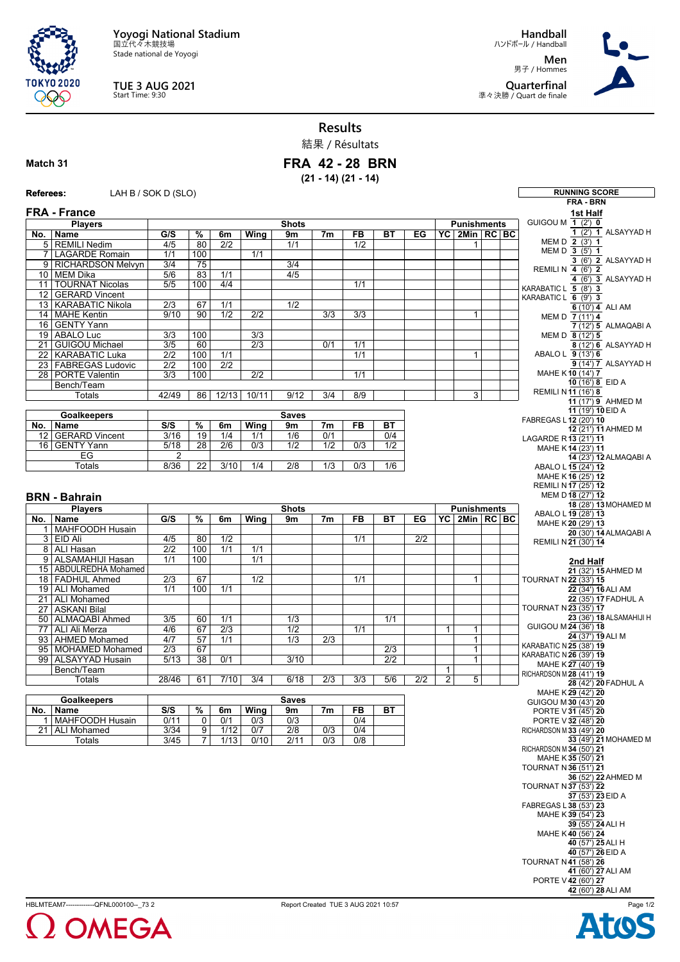**Yoyogi National Stadium** 国立代々木競技場

Stade national de Yoyogi



## **TUE 3 AUG 2021** Start Time: 9:30

**Handball** ハンドボール / Handball **Men** 男子 / Hommes

**Quarterfinal** 準々決勝 / Quart de finale



**Results**

結果 / Résultats

## **Match 31**

**FRA 42 - 28 BRN (21 - 14) (21 - 14)**

| <b>Referees:</b> | LAH B / SOK D (SLO)                        |                                      |                                    |                         |                         |                         |                         |                  |                  |                  |                                         |                                         |  | <b>RUNNING SCORE</b><br><b>FRA - BRN</b>                  |
|------------------|--------------------------------------------|--------------------------------------|------------------------------------|-------------------------|-------------------------|-------------------------|-------------------------|------------------|------------------|------------------|-----------------------------------------|-----------------------------------------|--|-----------------------------------------------------------|
|                  | <b>FRA - France</b>                        |                                      |                                    |                         |                         |                         |                         |                  |                  |                  |                                         |                                         |  | 1st Half                                                  |
|                  | <b>Players</b>                             |                                      | <b>Shots</b>                       |                         |                         |                         |                         |                  |                  |                  |                                         | <b>Punishments</b>                      |  | GUIGOU M 1 (2') 0                                         |
|                  | No.   Name                                 | G/S                                  | $\frac{9}{6}$                      | 6m                      | Wing                    | 9m                      | 7m                      | FB               | <b>BT</b>        | EG               |                                         | $\overline{PC}$ 2Min $\overline{RC}$ BC |  | 1 (2') 1 ALSAYYAD H                                       |
|                  | 5 REMILI Nedim                             | 4/5                                  | 80                                 | 2/2                     |                         | 1/1                     |                         | $\overline{1/2}$ |                  |                  |                                         |                                         |  | MEM D 2 (3') 1                                            |
|                  | 7 LAGARDE Romain                           | 1/1                                  | 100                                |                         | 1/1                     |                         |                         |                  |                  |                  |                                         |                                         |  | MEM D 3 (5') 1<br>3 (6') 2 ALSAYYAD H                     |
|                  | 9   RICHARDSON Melvyn                      | 3/4                                  | 75                                 |                         |                         | 3/4                     |                         |                  |                  |                  |                                         |                                         |  | REMILI N 4 (6') 2                                         |
|                  | 10 MEM Dika<br>11   TOURNAT Nicolas        | 5/6<br>5/5                           | 83<br>100                          | 1/1<br>4/4              |                         | 4/5                     |                         | 1/1              |                  |                  |                                         |                                         |  | 4 (6') 3 ALSAYYAD H                                       |
|                  | 12 GERARD Vincent                          |                                      |                                    |                         |                         |                         |                         |                  |                  |                  |                                         |                                         |  | KARABATIC L 5 (8') 3                                      |
|                  | 13 KARABATIC Nikola                        | $\overline{2/3}$                     | 67                                 | 1/1                     |                         | 1/2                     |                         |                  |                  |                  |                                         |                                         |  | KARABATIC L 6 (9') 3<br>6 (10') 4 ALI AM                  |
|                  | 14 MAHE Kentin                             | 9/10                                 | 90                                 | 1/2                     | $\overline{2/2}$        |                         | 3/3                     | $\overline{3/3}$ |                  |                  |                                         | $\mathbf{1}$                            |  | MEM D 7 (11') 4                                           |
|                  | 16 GENTY Yann                              |                                      |                                    |                         |                         |                         |                         |                  |                  |                  |                                         |                                         |  | 7 (12') 5 ALMAQABI A                                      |
|                  | 19 ABALO Luc                               | 3/3                                  | 100                                |                         | 3/3                     |                         |                         |                  |                  |                  |                                         |                                         |  | MEM D 8 (12') 5                                           |
|                  | 21 GUIGOU Michael                          | 3/5                                  | 60                                 |                         | 2/3                     |                         | 0/1                     | 1/1              |                  |                  |                                         |                                         |  | 8 (12') 6 ALSAYYAD H                                      |
|                  | 22   KARABATIC Luka<br>23 FABREGAS Ludovic | $\overline{2/2}$<br>$\overline{2/2}$ | 100<br>100                         | 1/1<br>$\overline{2/2}$ |                         |                         |                         | 1/1              |                  |                  |                                         | $\mathbf{1}$                            |  | ABALO L 9 (13') 6<br>9 (14') 7 ALSAYYAD H                 |
|                  | 28   PORTE Valentin                        | $\overline{3/3}$                     | 100                                |                         | $\overline{2/2}$        |                         |                         | 1/1              |                  |                  |                                         |                                         |  | MAHE K10 (14') 7                                          |
|                  | Bench/Team                                 |                                      |                                    |                         |                         |                         |                         |                  |                  |                  |                                         |                                         |  | 10 (16') 8 EID A                                          |
|                  | Totals                                     | 42/49                                | 86                                 | 12/13                   | 10/11                   | 9/12                    | 3/4                     | 8/9              |                  |                  |                                         | 3                                       |  | <b>REMILI N11 (16') 8</b>                                 |
|                  |                                            |                                      |                                    |                         |                         |                         |                         |                  |                  |                  | 11 (17') 9 AHMED M<br>11 (19') 10 EID A |                                         |  |                                                           |
|                  | <b>Goalkeepers</b>                         | <b>Saves</b>                         |                                    |                         |                         |                         |                         |                  |                  |                  | FABREGAS L12 (20') 10                   |                                         |  |                                                           |
|                  | No.   Name                                 | S/S                                  | %                                  | 6m                      | Wing                    | 9m                      | 7 <sub>m</sub>          | FB               | ВT               |                  |                                         |                                         |  | 12 (21') 11 AHMED M                                       |
|                  | 12 GERARD Vincent<br>16 GENTY Yann         | 3/16<br>5/18                         | $\overline{19}$<br>$\overline{28}$ | 1/4<br>$\overline{2/6}$ | 1/1<br>$\overline{0/3}$ | 1/6<br>$\overline{1/2}$ | 0/1<br>$\overline{1/2}$ | $\overline{0/3}$ | 0/4<br>1/2       |                  |                                         |                                         |  | LAGARDE R13 (21') 11                                      |
|                  | EG                                         | 2                                    |                                    |                         |                         |                         |                         |                  |                  |                  |                                         |                                         |  | MAHE K14 (23') 11<br>14 (23') 12 ALMAQABI A               |
|                  | Totals                                     | 8/36                                 | $\overline{22}$                    | 3/10                    | 1/4                     | 2/8                     | 1/3                     | 0/3              | 1/6              |                  |                                         |                                         |  | ABALO L 15 (24') 12                                       |
|                  |                                            |                                      |                                    |                         |                         |                         |                         |                  |                  |                  |                                         |                                         |  | MAHE K16 (25') 12                                         |
|                  |                                            |                                      |                                    |                         |                         |                         |                         |                  |                  |                  |                                         |                                         |  | REMILI N 17 (25') 12                                      |
|                  | <b>BRN - Bahrain</b>                       |                                      |                                    |                         |                         |                         |                         |                  |                  |                  |                                         |                                         |  | MEM D 18 (27') 12                                         |
|                  | <b>Players</b>                             |                                      |                                    |                         |                         | <b>Shots</b>            |                         |                  |                  |                  |                                         | <b>Punishments</b>                      |  | 18 (28') 13 MOHAMED M<br>ABALO L 19 (28') 13              |
|                  | No.   Name                                 | G/S                                  | $\overline{\%}$                    | 6m                      | Wing                    | 9m                      | 7m                      | <b>FB</b>        | BT               | EG               |                                         | YC   2Min   RC   BC                     |  | MAHE K20 (29') 13                                         |
|                  | 1 MAHFOODH Husain<br>3 EID Ali             | 4/5                                  | 80                                 | 1/2                     |                         |                         |                         | 1/1              |                  | $\overline{2/2}$ |                                         |                                         |  | 20 (30') 14 ALMAQABI A                                    |
|                  | 8 ALI Hasan                                | $\overline{2/2}$                     | 100                                | 1/1                     | $\overline{1/1}$        |                         |                         |                  |                  |                  |                                         |                                         |  | REMILI N 21 (30') 14                                      |
|                  | 9 ALSAMAHIJI Hasan                         | 1/1                                  | 100                                |                         | $\overline{1/1}$        |                         |                         |                  |                  |                  |                                         |                                         |  | 2nd Half                                                  |
|                  | 15   ABDULREDHA Mohamed                    |                                      |                                    |                         |                         |                         |                         |                  |                  |                  |                                         |                                         |  | 21 (32') 15 AHMED M                                       |
|                  | 18   FADHUL Ahmed                          | $\overline{2/3}$                     | 67                                 |                         | 1/2                     |                         |                         | 1/1              |                  |                  |                                         | $\mathbf{1}$                            |  | TOURNAT N 22 (33') 15                                     |
|                  | 19   ALI Mohamed                           | 1/1                                  | 100                                | 1/1                     |                         |                         |                         |                  |                  |                  |                                         |                                         |  | 22 (34') 16 ALI AM                                        |
|                  | 21   ALI Mohamed                           |                                      |                                    |                         |                         |                         |                         |                  |                  |                  |                                         |                                         |  | 22 (35') 17 FADHUL A<br>TOURNAT N 23 (35') 17             |
|                  | 27 ASKANI Bilal<br>50 ALMAQABI Ahmed       | 3/5                                  | 60                                 | 1/1                     |                         | 1/3                     |                         |                  | 1/1              |                  |                                         |                                         |  | 23 (36') 18 ALSAMAHIJI H                                  |
|                  | 77   ALI Ali Merza                         | 4/6                                  | 67                                 | 2/3                     |                         | 1/2                     |                         | 1/1              |                  |                  | $\mathbf{1}$                            | $\mathbf{1}$                            |  | GUIGOU M 24 (36') 18                                      |
|                  | 93 AHMED Mohamed                           | 4/7                                  | $\overline{57}$                    | 1/1                     |                         | 1/3                     | $\overline{2/3}$        |                  |                  |                  |                                         | $\mathbf{1}$                            |  | 24 (37') 19 ALI M                                         |
|                  | 95   MOHAMED Mohamed                       | $\overline{2/3}$                     | 67                                 |                         |                         |                         |                         |                  | $\overline{2/3}$ |                  |                                         | $\overline{1}$                          |  | KARABATIC N 25 (38') 19<br><b>KARABATIC N 26 (39') 19</b> |
|                  | 99 ALSAYYAD Husain                         | 5/13                                 | $\overline{38}$                    | 0/1                     |                         | 3/10                    |                         |                  | $\overline{2/2}$ |                  |                                         | $\mathbf{1}$                            |  | MAHE K27 (40') 19                                         |
|                  | Bench/Team                                 |                                      |                                    |                         |                         |                         |                         |                  |                  |                  | $\mathbf{1}$                            |                                         |  | RICHARDSON M 28 (41') 19                                  |
|                  | Totals                                     | 28/46                                | 61                                 | 7/10                    | 3/4                     | 6/18                    | 2/3                     | 3/3              | 5/6              | $\overline{2/2}$ | 2                                       | 5                                       |  | 28 (42') 20 FADHUL A                                      |
|                  | <b>Goalkeepers</b>                         | <b>Saves</b>                         |                                    |                         |                         |                         |                         |                  |                  |                  |                                         |                                         |  | MAHE K29 (42') 20<br>GUIGOU M 30 (43') 20                 |
|                  | No.   Name                                 | S/S                                  | %                                  | 6m                      | <b>Wing</b>             | 9m                      | 7 <sub>m</sub>          | FB               | BT               |                  |                                         |                                         |  | PORTE V31 (45') 20                                        |
|                  | 1 MAHFOODH Husain                          | 0/11                                 | $\mathbf 0$                        | 0/1                     | 0/3                     | 0/3                     |                         | 0/4              |                  |                  |                                         |                                         |  | PORTE V 32 (48') 20                                       |
|                  | 21 ALI Mohamed                             | 3/34                                 | $\overline{9}$                     | 1/12                    | 0/7                     | $\overline{2/8}$        | 0/3                     | 0/4              |                  |                  |                                         |                                         |  | RICHARDSON M 33 (49') 20                                  |
|                  | Totals                                     | 3/45                                 | $\overline{7}$                     | 1/13                    | 0/10                    | 2/11                    | 0/3                     | 0/8              |                  |                  |                                         |                                         |  | 33 (49') 21 MOHAMED M                                     |
|                  |                                            |                                      |                                    |                         |                         |                         |                         |                  |                  |                  |                                         |                                         |  | RICHARDSON M 34 (50') 21<br>MAHE K35 (50') 21             |
|                  |                                            |                                      |                                    |                         |                         |                         |                         |                  |                  |                  |                                         |                                         |  | <b>TOURNAT N36 (51') 21</b>                               |
|                  |                                            |                                      |                                    |                         |                         |                         |                         |                  |                  |                  |                                         |                                         |  | 36 (52') 22 AHMED M                                       |
|                  |                                            |                                      |                                    |                         |                         |                         |                         |                  |                  |                  |                                         |                                         |  | <b>TOURNAT N 37 (53') 22</b>                              |
|                  |                                            |                                      |                                    |                         |                         |                         |                         |                  |                  |                  |                                         |                                         |  | 37 (53') 23 EID A<br>FABREGAS L 38 (53') 23               |
|                  |                                            |                                      |                                    |                         |                         |                         |                         |                  |                  |                  |                                         |                                         |  | MAHE K39 (54') 23                                         |
|                  |                                            |                                      |                                    |                         |                         |                         |                         |                  |                  |                  |                                         |                                         |  | 39 (55') 24 ALI H                                         |
|                  |                                            |                                      |                                    |                         |                         |                         |                         |                  |                  |                  |                                         |                                         |  | MAHE K40 (56') 24                                         |
|                  |                                            |                                      |                                    |                         |                         |                         |                         |                  |                  |                  |                                         |                                         |  | 40 (57') 25 ALI H                                         |
|                  |                                            |                                      |                                    |                         |                         |                         |                         |                  |                  |                  |                                         |                                         |  | 40 (57') 26 EID A<br><b>TOURNAT N41 (58') 26</b>          |
|                  |                                            |                                      |                                    |                         |                         |                         |                         |                  |                  |                  |                                         |                                         |  | 41 (60') 27 ALI AM                                        |
|                  |                                            |                                      |                                    |                         |                         |                         |                         |                  |                  |                  |                                         |                                         |  | PORTE V 42 (60') 27                                       |
|                  |                                            |                                      |                                    |                         |                         |                         |                         |                  |                  |                  |                                         |                                         |  | 42 (60') 28 ALI AM                                        |